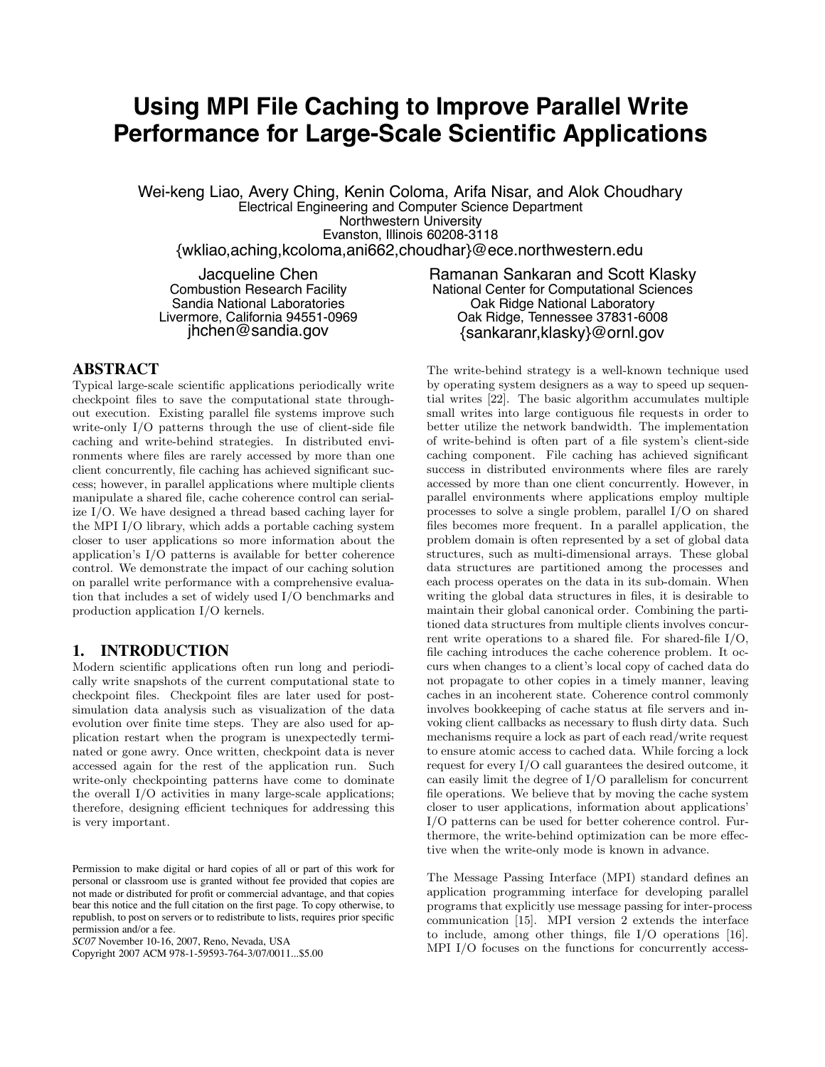# **Using MPI File Caching to Improve Parallel Write Performance for Large-Scale Scientific Applications**

Wei-keng Liao, Avery Ching, Kenin Coloma, Arifa Nisar, and Alok Choudhary Electrical Engineering and Computer Science Department Northwestern University Evanston, Illinois 60208-3118 {wkliao,aching,kcoloma,ani662,choudhar}@ece.northwestern.edu

Jacqueline Chen Combustion Research Facility Sandia National Laboratories Livermore, California 94551-0969 jhchen@sandia.gov

## **ABSTRACT**

Typical large-scale scientific applications periodically write checkpoint files to save the computational state throughout execution. Existing parallel file systems improve such write-only I/O patterns through the use of client-side file caching and write-behind strategies. In distributed environments where files are rarely accessed by more than one client concurrently, file caching has achieved significant success; however, in parallel applications where multiple clients manipulate a shared file, cache coherence control can serialize I/O. We have designed a thread based caching layer for the MPI I/O library, which adds a portable caching system closer to user applications so more information about the application's I/O patterns is available for better coherence control. We demonstrate the impact of our caching solution on parallel write performance with a comprehensive evaluation that includes a set of widely used I/O benchmarks and production application I/O kernels.

## **1. INTRODUCTION**

Modern scientific applications often run long and periodically write snapshots of the current computational state to checkpoint files. Checkpoint files are later used for postsimulation data analysis such as visualization of the data evolution over finite time steps. They are also used for application restart when the program is unexpectedly terminated or gone awry. Once written, checkpoint data is never accessed again for the rest of the application run. Such write-only checkpointing patterns have come to dominate the overall I/O activities in many large-scale applications; therefore, designing efficient techniques for addressing this is very important.

*SC07* November 10-16, 2007, Reno, Nevada, USA

Copyright 2007 ACM 978-1-59593-764-3/07/0011...\$5.00

Ramanan Sankaran and Scott Klasky National Center for Computational Sciences Oak Ridge National Laboratory Oak Ridge, Tennessee 37831-6008 {sankaranr,klasky}@ornl.gov

The write-behind strategy is a well-known technique used by operating system designers as a way to speed up sequential writes [22]. The basic algorithm accumulates multiple small writes into large contiguous file requests in order to better utilize the network bandwidth. The implementation of write-behind is often part of a file system's client-side caching component. File caching has achieved significant success in distributed environments where files are rarely accessed by more than one client concurrently. However, in parallel environments where applications employ multiple processes to solve a single problem, parallel I/O on shared files becomes more frequent. In a parallel application, the problem domain is often represented by a set of global data structures, such as multi-dimensional arrays. These global data structures are partitioned among the processes and each process operates on the data in its sub-domain. When writing the global data structures in files, it is desirable to maintain their global canonical order. Combining the partitioned data structures from multiple clients involves concurrent write operations to a shared file. For shared-file I/O, file caching introduces the cache coherence problem. It occurs when changes to a client's local copy of cached data do not propagate to other copies in a timely manner, leaving caches in an incoherent state. Coherence control commonly involves bookkeeping of cache status at file servers and invoking client callbacks as necessary to flush dirty data. Such mechanisms require a lock as part of each read/write request to ensure atomic access to cached data. While forcing a lock request for every I/O call guarantees the desired outcome, it can easily limit the degree of I/O parallelism for concurrent file operations. We believe that by moving the cache system closer to user applications, information about applications' I/O patterns can be used for better coherence control. Furthermore, the write-behind optimization can be more effective when the write-only mode is known in advance.

The Message Passing Interface (MPI) standard defines an application programming interface for developing parallel programs that explicitly use message passing for inter-process communication [15]. MPI version 2 extends the interface to include, among other things, file I/O operations [16]. MPI I/O focuses on the functions for concurrently access-

Permission to make digital or hard copies of all or part of this work for personal or classroom use is granted without fee provided that copies are not made or distributed for profit or commercial advantage, and that copies bear this notice and the full citation on the first page. To copy otherwise, to republish, to post on servers or to redistribute to lists, requires prior specific permission and/or a fee.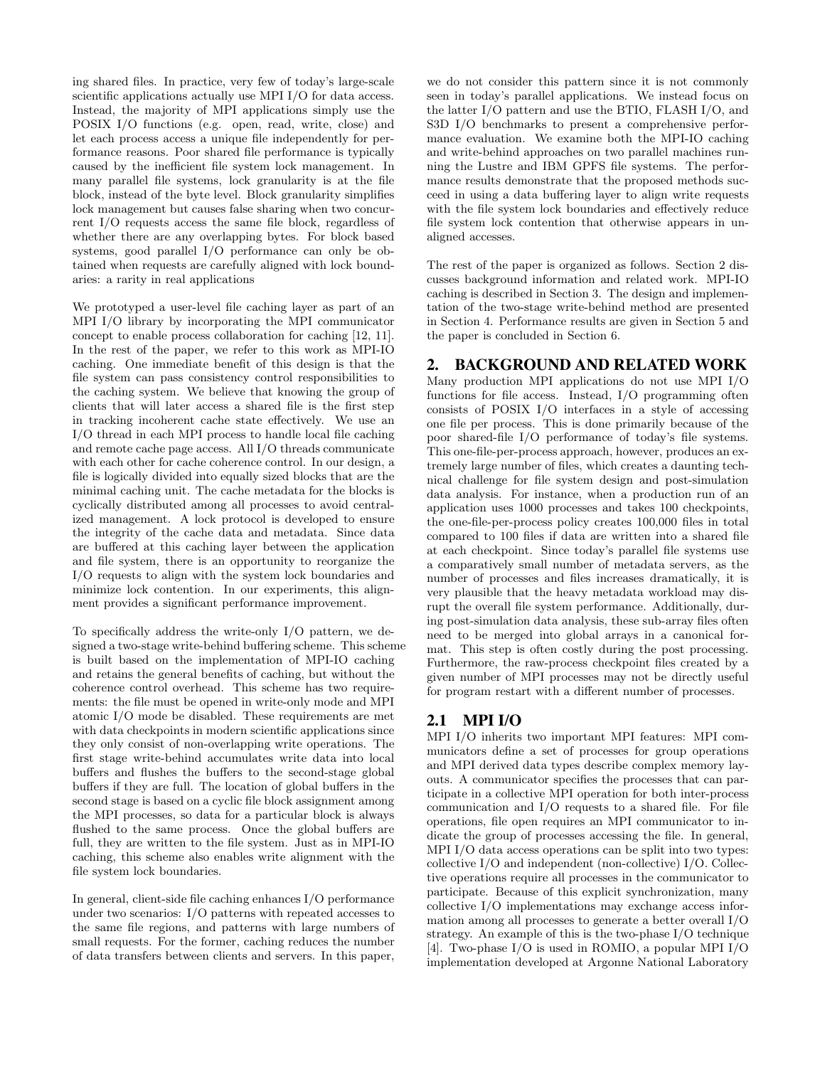ing shared files. In practice, very few of today's large-scale scientific applications actually use MPI I/O for data access. Instead, the majority of MPI applications simply use the POSIX I/O functions (e.g. open, read, write, close) and let each process access a unique file independently for performance reasons. Poor shared file performance is typically caused by the inefficient file system lock management. In many parallel file systems, lock granularity is at the file block, instead of the byte level. Block granularity simplifies lock management but causes false sharing when two concurrent I/O requests access the same file block, regardless of whether there are any overlapping bytes. For block based systems, good parallel I/O performance can only be obtained when requests are carefully aligned with lock boundaries: a rarity in real applications

We prototyped a user-level file caching layer as part of an MPI I/O library by incorporating the MPI communicator concept to enable process collaboration for caching [12, 11]. In the rest of the paper, we refer to this work as MPI-IO caching. One immediate benefit of this design is that the file system can pass consistency control responsibilities to the caching system. We believe that knowing the group of clients that will later access a shared file is the first step in tracking incoherent cache state effectively. We use an I/O thread in each MPI process to handle local file caching and remote cache page access. All I/O threads communicate with each other for cache coherence control. In our design, a file is logically divided into equally sized blocks that are the minimal caching unit. The cache metadata for the blocks is cyclically distributed among all processes to avoid centralized management. A lock protocol is developed to ensure the integrity of the cache data and metadata. Since data are buffered at this caching layer between the application and file system, there is an opportunity to reorganize the I/O requests to align with the system lock boundaries and minimize lock contention. In our experiments, this alignment provides a significant performance improvement.

To specifically address the write-only I/O pattern, we designed a two-stage write-behind buffering scheme. This scheme is built based on the implementation of MPI-IO caching and retains the general benefits of caching, but without the coherence control overhead. This scheme has two requirements: the file must be opened in write-only mode and MPI atomic I/O mode be disabled. These requirements are met with data checkpoints in modern scientific applications since they only consist of non-overlapping write operations. The first stage write-behind accumulates write data into local buffers and flushes the buffers to the second-stage global buffers if they are full. The location of global buffers in the second stage is based on a cyclic file block assignment among the MPI processes, so data for a particular block is always flushed to the same process. Once the global buffers are full, they are written to the file system. Just as in MPI-IO caching, this scheme also enables write alignment with the file system lock boundaries.

In general, client-side file caching enhances I/O performance under two scenarios: I/O patterns with repeated accesses to the same file regions, and patterns with large numbers of small requests. For the former, caching reduces the number of data transfers between clients and servers. In this paper, we do not consider this pattern since it is not commonly seen in today's parallel applications. We instead focus on the latter I/O pattern and use the BTIO, FLASH I/O, and S3D I/O benchmarks to present a comprehensive performance evaluation. We examine both the MPI-IO caching and write-behind approaches on two parallel machines running the Lustre and IBM GPFS file systems. The performance results demonstrate that the proposed methods succeed in using a data buffering layer to align write requests with the file system lock boundaries and effectively reduce file system lock contention that otherwise appears in unaligned accesses.

The rest of the paper is organized as follows. Section 2 discusses background information and related work. MPI-IO caching is described in Section 3. The design and implementation of the two-stage write-behind method are presented in Section 4. Performance results are given in Section 5 and the paper is concluded in Section 6.

## **2. BACKGROUND AND RELATED WORK**

Many production MPI applications do not use MPI I/O functions for file access. Instead, I/O programming often consists of POSIX I/O interfaces in a style of accessing one file per process. This is done primarily because of the poor shared-file I/O performance of today's file systems. This one-file-per-process approach, however, produces an extremely large number of files, which creates a daunting technical challenge for file system design and post-simulation data analysis. For instance, when a production run of an application uses 1000 processes and takes 100 checkpoints, the one-file-per-process policy creates 100,000 files in total compared to 100 files if data are written into a shared file at each checkpoint. Since today's parallel file systems use a comparatively small number of metadata servers, as the number of processes and files increases dramatically, it is very plausible that the heavy metadata workload may disrupt the overall file system performance. Additionally, during post-simulation data analysis, these sub-array files often need to be merged into global arrays in a canonical format. This step is often costly during the post processing. Furthermore, the raw-process checkpoint files created by a given number of MPI processes may not be directly useful for program restart with a different number of processes.

#### **2.1 MPI I/O**

MPI I/O inherits two important MPI features: MPI communicators define a set of processes for group operations and MPI derived data types describe complex memory layouts. A communicator specifies the processes that can participate in a collective MPI operation for both inter-process communication and I/O requests to a shared file. For file operations, file open requires an MPI communicator to indicate the group of processes accessing the file. In general, MPI I/O data access operations can be split into two types: collective I/O and independent (non-collective) I/O. Collective operations require all processes in the communicator to participate. Because of this explicit synchronization, many collective I/O implementations may exchange access information among all processes to generate a better overall I/O strategy. An example of this is the two-phase I/O technique [4]. Two-phase I/O is used in ROMIO, a popular MPI I/O implementation developed at Argonne National Laboratory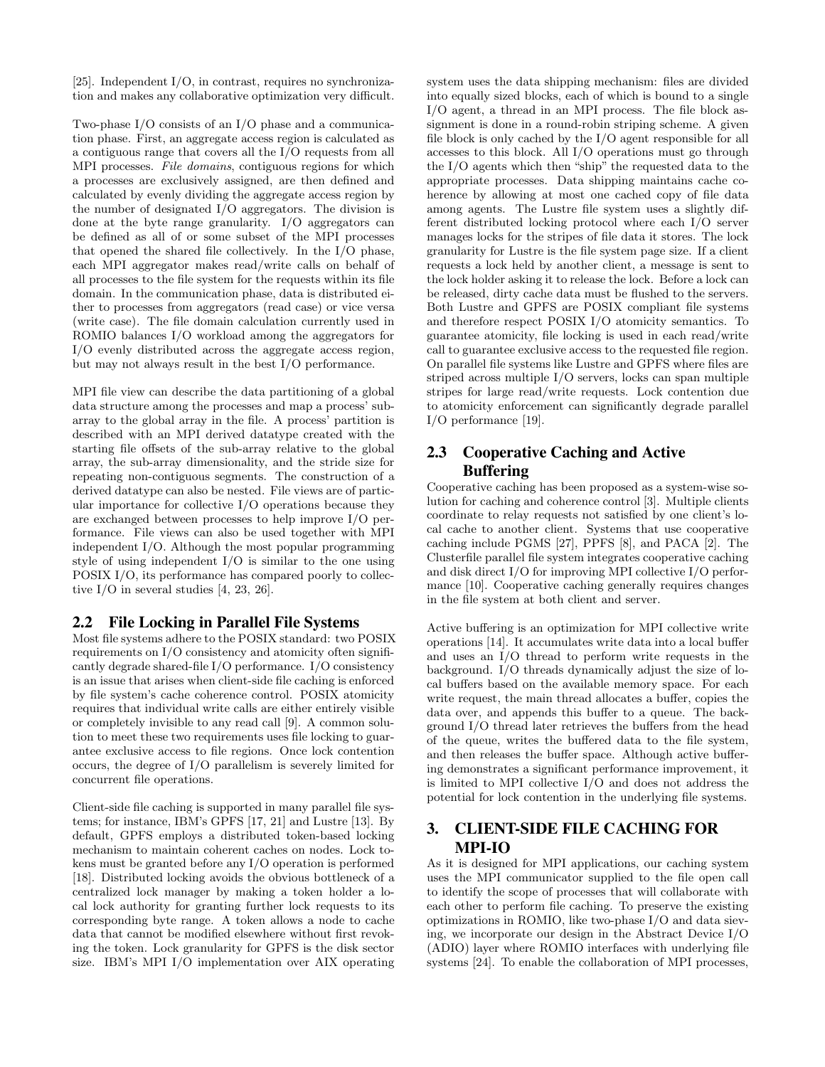[25]. Independent I/O, in contrast, requires no synchronization and makes any collaborative optimization very difficult.

Two-phase I/O consists of an I/O phase and a communication phase. First, an aggregate access region is calculated as a contiguous range that covers all the I/O requests from all MPI processes. *File domains*, contiguous regions for which a processes are exclusively assigned, are then defined and calculated by evenly dividing the aggregate access region by the number of designated I/O aggregators. The division is done at the byte range granularity. I/O aggregators can be defined as all of or some subset of the MPI processes that opened the shared file collectively. In the I/O phase, each MPI aggregator makes read/write calls on behalf of all processes to the file system for the requests within its file domain. In the communication phase, data is distributed either to processes from aggregators (read case) or vice versa (write case). The file domain calculation currently used in ROMIO balances I/O workload among the aggregators for I/O evenly distributed across the aggregate access region, but may not always result in the best I/O performance.

MPI file view can describe the data partitioning of a global data structure among the processes and map a process' subarray to the global array in the file. A process' partition is described with an MPI derived datatype created with the starting file offsets of the sub-array relative to the global array, the sub-array dimensionality, and the stride size for repeating non-contiguous segments. The construction of a derived datatype can also be nested. File views are of particular importance for collective I/O operations because they are exchanged between processes to help improve I/O performance. File views can also be used together with MPI independent I/O. Although the most popular programming style of using independent I/O is similar to the one using POSIX I/O, its performance has compared poorly to collective I/O in several studies [4, 23, 26].

#### **2.2 File Locking in Parallel File Systems**

Most file systems adhere to the POSIX standard: two POSIX requirements on I/O consistency and atomicity often significantly degrade shared-file I/O performance. I/O consistency is an issue that arises when client-side file caching is enforced by file system's cache coherence control. POSIX atomicity requires that individual write calls are either entirely visible or completely invisible to any read call [9]. A common solution to meet these two requirements uses file locking to guarantee exclusive access to file regions. Once lock contention occurs, the degree of I/O parallelism is severely limited for concurrent file operations.

Client-side file caching is supported in many parallel file systems; for instance, IBM's GPFS [17, 21] and Lustre [13]. By default, GPFS employs a distributed token-based locking mechanism to maintain coherent caches on nodes. Lock tokens must be granted before any I/O operation is performed [18]. Distributed locking avoids the obvious bottleneck of a centralized lock manager by making a token holder a local lock authority for granting further lock requests to its corresponding byte range. A token allows a node to cache data that cannot be modified elsewhere without first revoking the token. Lock granularity for GPFS is the disk sector size. IBM's MPI I/O implementation over AIX operating system uses the data shipping mechanism: files are divided into equally sized blocks, each of which is bound to a single I/O agent, a thread in an MPI process. The file block assignment is done in a round-robin striping scheme. A given file block is only cached by the I/O agent responsible for all accesses to this block. All I/O operations must go through the I/O agents which then "ship" the requested data to the appropriate processes. Data shipping maintains cache coherence by allowing at most one cached copy of file data among agents. The Lustre file system uses a slightly different distributed locking protocol where each I/O server manages locks for the stripes of file data it stores. The lock granularity for Lustre is the file system page size. If a client requests a lock held by another client, a message is sent to the lock holder asking it to release the lock. Before a lock can be released, dirty cache data must be flushed to the servers. Both Lustre and GPFS are POSIX compliant file systems and therefore respect POSIX I/O atomicity semantics. To guarantee atomicity, file locking is used in each read/write call to guarantee exclusive access to the requested file region. On parallel file systems like Lustre and GPFS where files are striped across multiple I/O servers, locks can span multiple stripes for large read/write requests. Lock contention due to atomicity enforcement can significantly degrade parallel I/O performance [19].

## **2.3 Cooperative Caching and Active Buffering**

Cooperative caching has been proposed as a system-wise solution for caching and coherence control [3]. Multiple clients coordinate to relay requests not satisfied by one client's local cache to another client. Systems that use cooperative caching include PGMS [27], PPFS [8], and PACA [2]. The Clusterfile parallel file system integrates cooperative caching and disk direct I/O for improving MPI collective I/O performance [10]. Cooperative caching generally requires changes in the file system at both client and server.

Active buffering is an optimization for MPI collective write operations [14]. It accumulates write data into a local buffer and uses an I/O thread to perform write requests in the background. I/O threads dynamically adjust the size of local buffers based on the available memory space. For each write request, the main thread allocates a buffer, copies the data over, and appends this buffer to a queue. The background I/O thread later retrieves the buffers from the head of the queue, writes the buffered data to the file system, and then releases the buffer space. Although active buffering demonstrates a significant performance improvement, it is limited to MPI collective I/O and does not address the potential for lock contention in the underlying file systems.

# **3. CLIENT-SIDE FILE CACHING FOR MPI-IO**

As it is designed for MPI applications, our caching system uses the MPI communicator supplied to the file open call to identify the scope of processes that will collaborate with each other to perform file caching. To preserve the existing optimizations in ROMIO, like two-phase I/O and data sieving, we incorporate our design in the Abstract Device I/O (ADIO) layer where ROMIO interfaces with underlying file systems [24]. To enable the collaboration of MPI processes,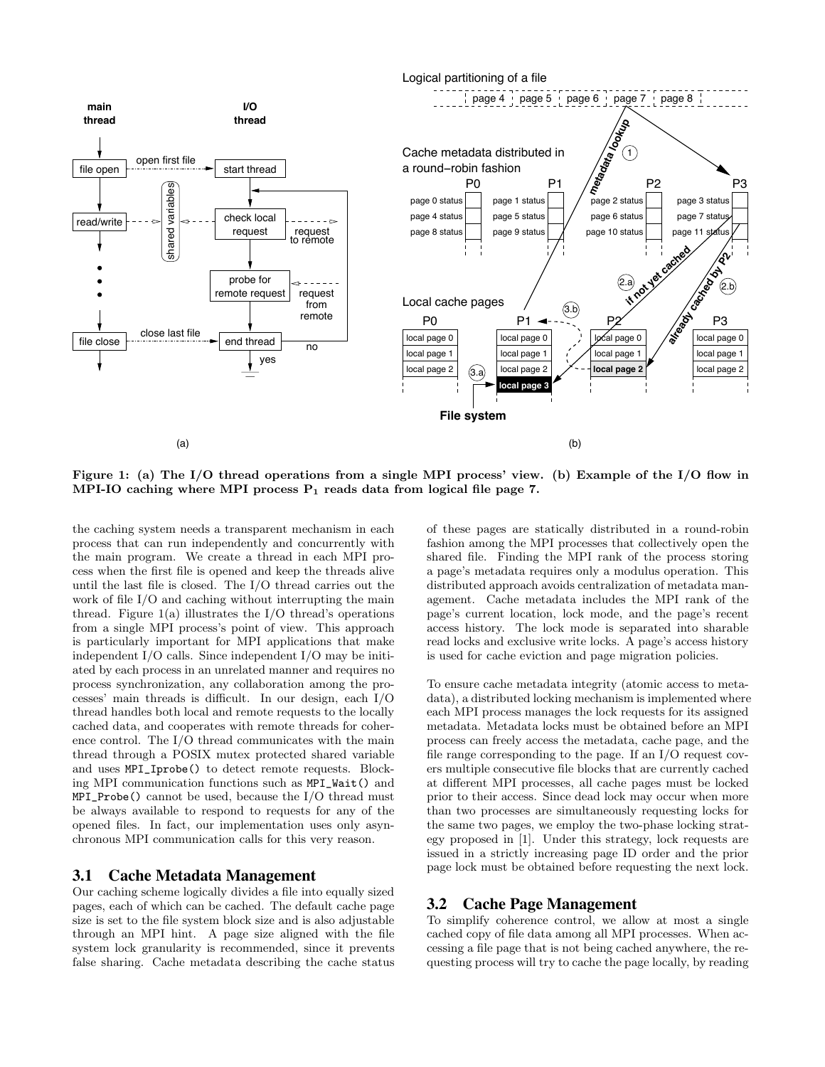

**Figure 1: (a) The I/O thread operations from a single MPI process' view. (b) Example of the I/O flow in MPI-IO caching where MPI process P<sup>1</sup> reads data from logical file page 7.**

the caching system needs a transparent mechanism in each process that can run independently and concurrently with the main program. We create a thread in each MPI process when the first file is opened and keep the threads alive until the last file is closed. The I/O thread carries out the work of file I/O and caching without interrupting the main thread. Figure  $1(a)$  illustrates the I/O thread's operations from a single MPI process's point of view. This approach is particularly important for MPI applications that make independent I/O calls. Since independent I/O may be initiated by each process in an unrelated manner and requires no process synchronization, any collaboration among the processes' main threads is difficult. In our design, each I/O thread handles both local and remote requests to the locally cached data, and cooperates with remote threads for coherence control. The I/O thread communicates with the main thread through a POSIX mutex protected shared variable and uses MPI\_Iprobe() to detect remote requests. Blocking MPI communication functions such as MPI\_Wait() and  $MPI_P$ robe() cannot be used, because the  $I/O$  thread must be always available to respond to requests for any of the opened files. In fact, our implementation uses only asynchronous MPI communication calls for this very reason.

#### **3.1 Cache Metadata Management**

Our caching scheme logically divides a file into equally sized pages, each of which can be cached. The default cache page size is set to the file system block size and is also adjustable through an MPI hint. A page size aligned with the file system lock granularity is recommended, since it prevents false sharing. Cache metadata describing the cache status

of these pages are statically distributed in a round-robin fashion among the MPI processes that collectively open the shared file. Finding the MPI rank of the process storing a page's metadata requires only a modulus operation. This distributed approach avoids centralization of metadata management. Cache metadata includes the MPI rank of the page's current location, lock mode, and the page's recent access history. The lock mode is separated into sharable read locks and exclusive write locks. A page's access history is used for cache eviction and page migration policies.

To ensure cache metadata integrity (atomic access to metadata), a distributed locking mechanism is implemented where each MPI process manages the lock requests for its assigned metadata. Metadata locks must be obtained before an MPI process can freely access the metadata, cache page, and the file range corresponding to the page. If an I/O request covers multiple consecutive file blocks that are currently cached at different MPI processes, all cache pages must be locked prior to their access. Since dead lock may occur when more than two processes are simultaneously requesting locks for the same two pages, we employ the two-phase locking strategy proposed in [1]. Under this strategy, lock requests are issued in a strictly increasing page ID order and the prior page lock must be obtained before requesting the next lock.

#### **3.2 Cache Page Management**

To simplify coherence control, we allow at most a single cached copy of file data among all MPI processes. When accessing a file page that is not being cached anywhere, the requesting process will try to cache the page locally, by reading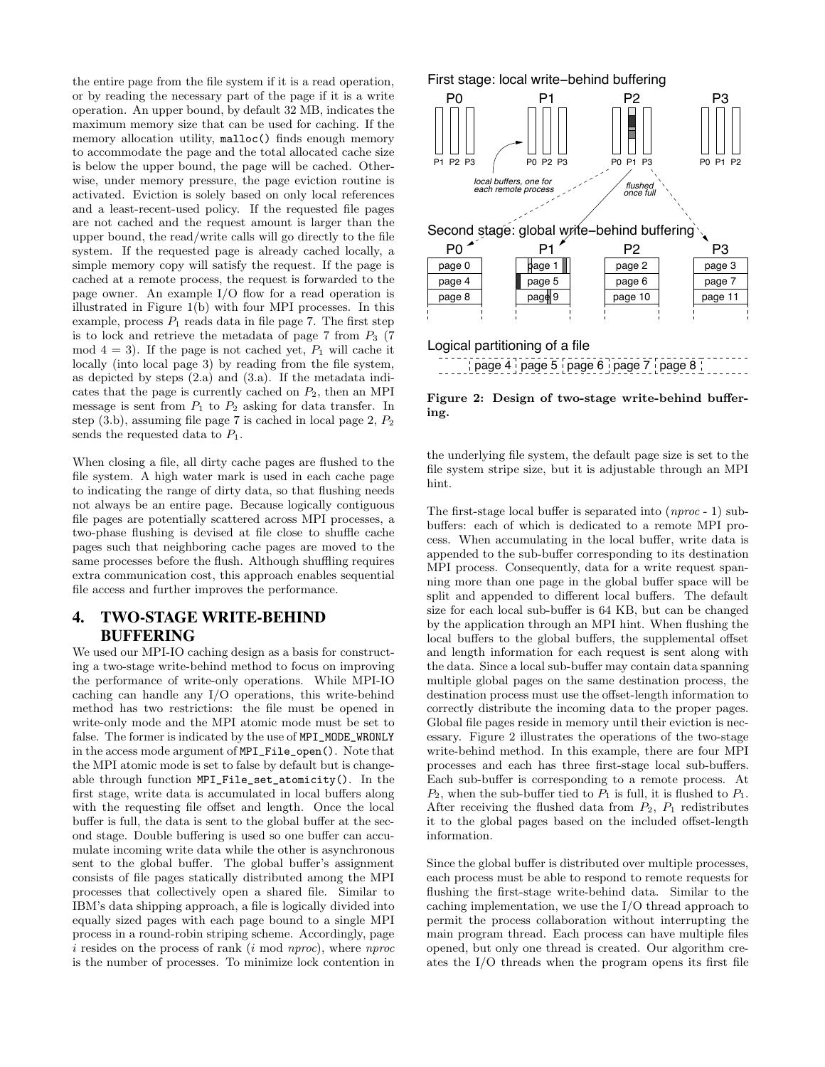the entire page from the file system if it is a read operation, or by reading the necessary part of the page if it is a write operation. An upper bound, by default 32 MB, indicates the maximum memory size that can be used for caching. If the memory allocation utility, malloc() finds enough memory to accommodate the page and the total allocated cache size is below the upper bound, the page will be cached. Otherwise, under memory pressure, the page eviction routine is activated. Eviction is solely based on only local references and a least-recent-used policy. If the requested file pages are not cached and the request amount is larger than the upper bound, the read/write calls will go directly to the file system. If the requested page is already cached locally, a simple memory copy will satisfy the request. If the page is cached at a remote process, the request is forwarded to the page owner. An example I/O flow for a read operation is illustrated in Figure 1(b) with four MPI processes. In this example, process  $P_1$  reads data in file page 7. The first step is to lock and retrieve the metadata of page  $7$  from  $P_3$  ( $7$ mod  $4 = 3$ ). If the page is not cached yet,  $P_1$  will cache it locally (into local page 3) by reading from the file system, as depicted by steps (2.a) and (3.a). If the metadata indicates that the page is currently cached on *P*2, then an MPI message is sent from  $P_1$  to  $P_2$  asking for data transfer. In step (3.b), assuming file page 7 is cached in local page 2, *P*<sup>2</sup> sends the requested data to *P*1.

When closing a file, all dirty cache pages are flushed to the file system. A high water mark is used in each cache page to indicating the range of dirty data, so that flushing needs not always be an entire page. Because logically contiguous file pages are potentially scattered across MPI processes, a two-phase flushing is devised at file close to shuffle cache pages such that neighboring cache pages are moved to the same processes before the flush. Although shuffling requires extra communication cost, this approach enables sequential file access and further improves the performance.

# **4. TWO-STAGE WRITE-BEHIND BUFFERING**

We used our MPI-IO caching design as a basis for constructing a two-stage write-behind method to focus on improving the performance of write-only operations. While MPI-IO caching can handle any I/O operations, this write-behind method has two restrictions: the file must be opened in write-only mode and the MPI atomic mode must be set to false. The former is indicated by the use of MPI\_MODE\_WRONLY in the access mode argument of MPI\_File\_open(). Note that the MPI atomic mode is set to false by default but is changeable through function MPI\_File\_set\_atomicity(). In the first stage, write data is accumulated in local buffers along with the requesting file offset and length. Once the local buffer is full, the data is sent to the global buffer at the second stage. Double buffering is used so one buffer can accumulate incoming write data while the other is asynchronous sent to the global buffer. The global buffer's assignment consists of file pages statically distributed among the MPI processes that collectively open a shared file. Similar to IBM's data shipping approach, a file is logically divided into equally sized pages with each page bound to a single MPI process in a round-robin striping scheme. Accordingly, page *i* resides on the process of rank (*i* mod *nproc*), where *nproc* is the number of processes. To minimize lock contention in



**Figure 2: Design of two-stage write-behind buffering.**

the underlying file system, the default page size is set to the file system stripe size, but it is adjustable through an MPI hint.

The first-stage local buffer is separated into (*nproc* - 1) subbuffers: each of which is dedicated to a remote MPI process. When accumulating in the local buffer, write data is appended to the sub-buffer corresponding to its destination MPI process. Consequently, data for a write request spanning more than one page in the global buffer space will be split and appended to different local buffers. The default size for each local sub-buffer is 64 KB, but can be changed by the application through an MPI hint. When flushing the local buffers to the global buffers, the supplemental offset and length information for each request is sent along with the data. Since a local sub-buffer may contain data spanning multiple global pages on the same destination process, the destination process must use the offset-length information to correctly distribute the incoming data to the proper pages. Global file pages reside in memory until their eviction is necessary. Figure 2 illustrates the operations of the two-stage write-behind method. In this example, there are four MPI processes and each has three first-stage local sub-buffers. Each sub-buffer is corresponding to a remote process. At  $P_2$ , when the sub-buffer tied to  $P_1$  is full, it is flushed to  $P_1$ . After receiving the flushed data from  $P_2$ ,  $P_1$  redistributes it to the global pages based on the included offset-length information.

Since the global buffer is distributed over multiple processes, each process must be able to respond to remote requests for flushing the first-stage write-behind data. Similar to the caching implementation, we use the I/O thread approach to permit the process collaboration without interrupting the main program thread. Each process can have multiple files opened, but only one thread is created. Our algorithm creates the I/O threads when the program opens its first file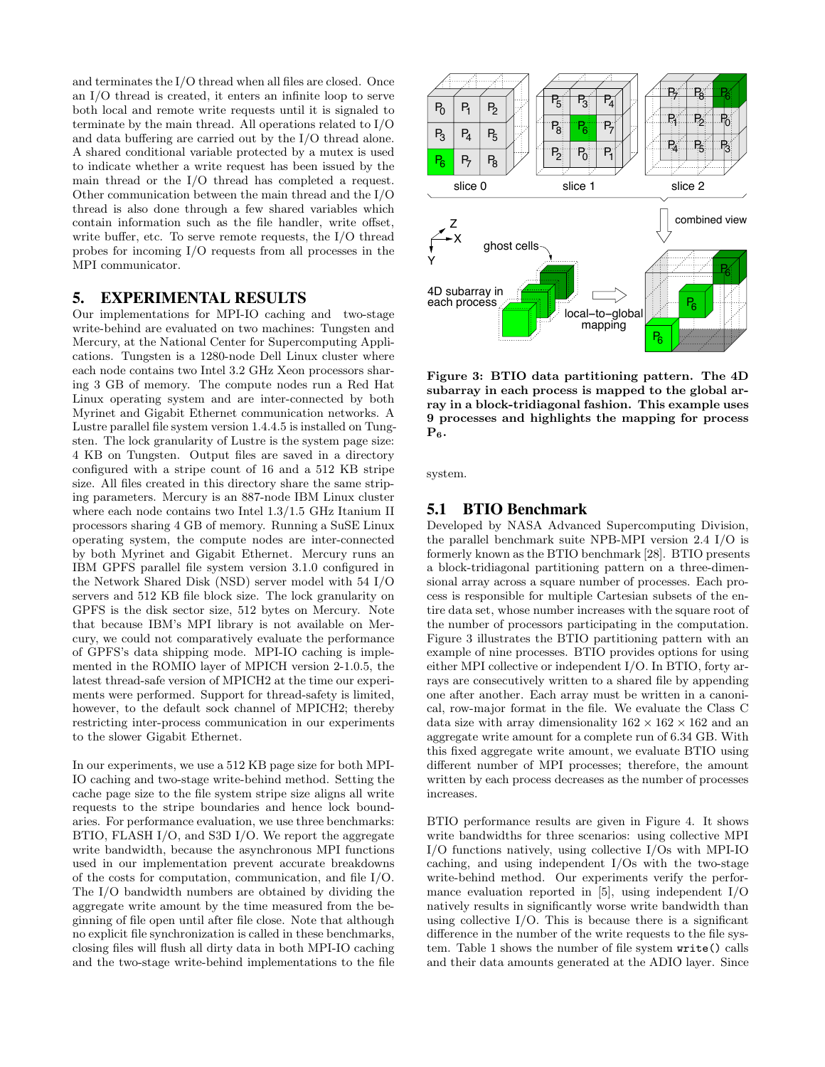and terminates the I/O thread when all files are closed. Once an I/O thread is created, it enters an infinite loop to serve both local and remote write requests until it is signaled to terminate by the main thread. All operations related to I/O and data buffering are carried out by the I/O thread alone. A shared conditional variable protected by a mutex is used to indicate whether a write request has been issued by the main thread or the I/O thread has completed a request. Other communication between the main thread and the I/O thread is also done through a few shared variables which contain information such as the file handler, write offset, write buffer, etc. To serve remote requests, the I/O thread probes for incoming I/O requests from all processes in the MPI communicator.

### **5. EXPERIMENTAL RESULTS**

Our implementations for MPI-IO caching and two-stage write-behind are evaluated on two machines: Tungsten and Mercury, at the National Center for Supercomputing Applications. Tungsten is a 1280-node Dell Linux cluster where each node contains two Intel 3.2 GHz Xeon processors sharing 3 GB of memory. The compute nodes run a Red Hat Linux operating system and are inter-connected by both Myrinet and Gigabit Ethernet communication networks. A Lustre parallel file system version 1.4.4.5 is installed on Tungsten. The lock granularity of Lustre is the system page size: 4 KB on Tungsten. Output files are saved in a directory configured with a stripe count of 16 and a 512 KB stripe size. All files created in this directory share the same striping parameters. Mercury is an 887-node IBM Linux cluster where each node contains two Intel 1.3/1.5 GHz Itanium II processors sharing 4 GB of memory. Running a SuSE Linux operating system, the compute nodes are inter-connected by both Myrinet and Gigabit Ethernet. Mercury runs an IBM GPFS parallel file system version 3.1.0 configured in the Network Shared Disk (NSD) server model with 54 I/O servers and 512 KB file block size. The lock granularity on GPFS is the disk sector size, 512 bytes on Mercury. Note that because IBM's MPI library is not available on Mercury, we could not comparatively evaluate the performance of GPFS's data shipping mode. MPI-IO caching is implemented in the ROMIO layer of MPICH version 2-1.0.5, the latest thread-safe version of MPICH2 at the time our experiments were performed. Support for thread-safety is limited, however, to the default sock channel of MPICH2; thereby restricting inter-process communication in our experiments to the slower Gigabit Ethernet.

In our experiments, we use a 512 KB page size for both MPI-IO caching and two-stage write-behind method. Setting the cache page size to the file system stripe size aligns all write requests to the stripe boundaries and hence lock boundaries. For performance evaluation, we use three benchmarks: BTIO, FLASH I/O, and S3D I/O. We report the aggregate write bandwidth, because the asynchronous MPI functions used in our implementation prevent accurate breakdowns of the costs for computation, communication, and file I/O. The I/O bandwidth numbers are obtained by dividing the aggregate write amount by the time measured from the beginning of file open until after file close. Note that although no explicit file synchronization is called in these benchmarks, closing files will flush all dirty data in both MPI-IO caching and the two-stage write-behind implementations to the file



**Figure 3: BTIO data partitioning pattern. The 4D subarray in each process is mapped to the global array in a block-tridiagonal fashion. This example uses 9 processes and highlights the mapping for process P6.**

system.

#### **5.1 BTIO Benchmark**

Developed by NASA Advanced Supercomputing Division, the parallel benchmark suite NPB-MPI version 2.4 I/O is formerly known as the BTIO benchmark [28]. BTIO presents a block-tridiagonal partitioning pattern on a three-dimensional array across a square number of processes. Each process is responsible for multiple Cartesian subsets of the entire data set, whose number increases with the square root of the number of processors participating in the computation. Figure 3 illustrates the BTIO partitioning pattern with an example of nine processes. BTIO provides options for using either MPI collective or independent I/O. In BTIO, forty arrays are consecutively written to a shared file by appending one after another. Each array must be written in a canonical, row-major format in the file. We evaluate the Class C data size with array dimensionality  $162 \times 162 \times 162$  and an aggregate write amount for a complete run of 6.34 GB. With this fixed aggregate write amount, we evaluate BTIO using different number of MPI processes; therefore, the amount written by each process decreases as the number of processes increases.

BTIO performance results are given in Figure 4. It shows write bandwidths for three scenarios: using collective MPI I/O functions natively, using collective I/Os with MPI-IO caching, and using independent I/Os with the two-stage write-behind method. Our experiments verify the performance evaluation reported in [5], using independent I/O natively results in significantly worse write bandwidth than using collective  $I/O$ . This is because there is a significant difference in the number of the write requests to the file system. Table 1 shows the number of file system write() calls and their data amounts generated at the ADIO layer. Since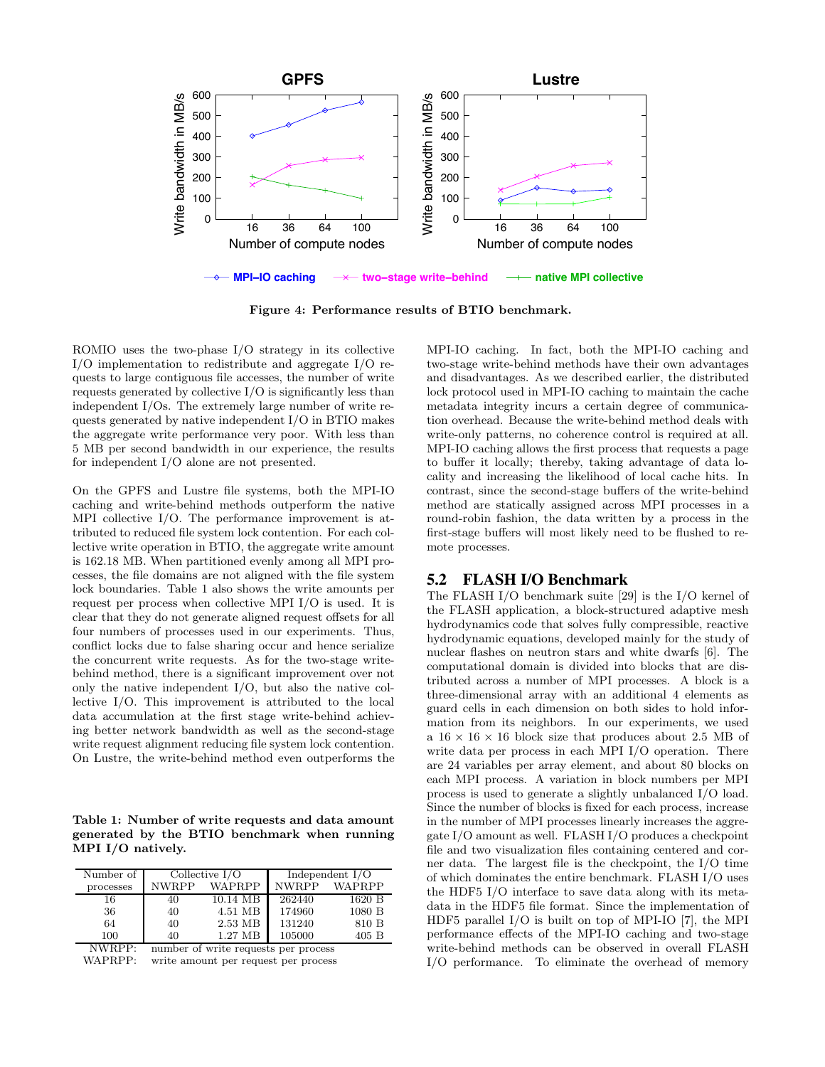

**Figure 4: Performance results of BTIO benchmark.**

ROMIO uses the two-phase I/O strategy in its collective I/O implementation to redistribute and aggregate I/O requests to large contiguous file accesses, the number of write requests generated by collective I/O is significantly less than independent I/Os. The extremely large number of write requests generated by native independent I/O in BTIO makes the aggregate write performance very poor. With less than 5 MB per second bandwidth in our experience, the results for independent I/O alone are not presented.

On the GPFS and Lustre file systems, both the MPI-IO caching and write-behind methods outperform the native MPI collective I/O. The performance improvement is attributed to reduced file system lock contention. For each collective write operation in BTIO, the aggregate write amount is 162.18 MB. When partitioned evenly among all MPI processes, the file domains are not aligned with the file system lock boundaries. Table 1 also shows the write amounts per request per process when collective MPI I/O is used. It is clear that they do not generate aligned request offsets for all four numbers of processes used in our experiments. Thus, conflict locks due to false sharing occur and hence serialize the concurrent write requests. As for the two-stage writebehind method, there is a significant improvement over not only the native independent I/O, but also the native collective I/O. This improvement is attributed to the local data accumulation at the first stage write-behind achieving better network bandwidth as well as the second-stage write request alignment reducing file system lock contention. On Lustre, the write-behind method even outperforms the

**Table 1: Number of write requests and data amount generated by the BTIO benchmark when running MPI I/O natively.**

| Number of | Collective $I/O$                     |           | Independent $I/O$ |        |
|-----------|--------------------------------------|-----------|-------------------|--------|
| processes | <b>NWRPP</b>                         | WAPRPP    | <b>NWRPP</b>      | WAPRPP |
| 16        | 40                                   | 10.14 MB  | 262440            | 1620 B |
| 36        | 40                                   | 4.51 MB   | 174960            | 1080 B |
| 64        | 40                                   | 2.53 MB   | 131240            | 810 B  |
| 100       | 40                                   | $1.27$ MB | 105000            | 405 B  |
|           | number of write requests per process |           |                   |        |

WAPRPP: write amount per request per process

MPI-IO caching. In fact, both the MPI-IO caching and two-stage write-behind methods have their own advantages and disadvantages. As we described earlier, the distributed lock protocol used in MPI-IO caching to maintain the cache metadata integrity incurs a certain degree of communication overhead. Because the write-behind method deals with write-only patterns, no coherence control is required at all. MPI-IO caching allows the first process that requests a page to buffer it locally; thereby, taking advantage of data locality and increasing the likelihood of local cache hits. In contrast, since the second-stage buffers of the write-behind method are statically assigned across MPI processes in a round-robin fashion, the data written by a process in the first-stage buffers will most likely need to be flushed to remote processes.

#### **5.2 FLASH I/O Benchmark**

The FLASH I/O benchmark suite [29] is the I/O kernel of the FLASH application, a block-structured adaptive mesh hydrodynamics code that solves fully compressible, reactive hydrodynamic equations, developed mainly for the study of nuclear flashes on neutron stars and white dwarfs [6]. The computational domain is divided into blocks that are distributed across a number of MPI processes. A block is a three-dimensional array with an additional 4 elements as guard cells in each dimension on both sides to hold information from its neighbors. In our experiments, we used a  $16 \times 16 \times 16$  block size that produces about 2.5 MB of write data per process in each MPI I/O operation. There are 24 variables per array element, and about 80 blocks on each MPI process. A variation in block numbers per MPI process is used to generate a slightly unbalanced I/O load. Since the number of blocks is fixed for each process, increase in the number of MPI processes linearly increases the aggregate I/O amount as well. FLASH I/O produces a checkpoint file and two visualization files containing centered and corner data. The largest file is the checkpoint, the I/O time of which dominates the entire benchmark. FLASH I/O uses the HDF5 I/O interface to save data along with its metadata in the HDF5 file format. Since the implementation of HDF5 parallel I/O is built on top of MPI-IO [7], the MPI performance effects of the MPI-IO caching and two-stage write-behind methods can be observed in overall FLASH I/O performance. To eliminate the overhead of memory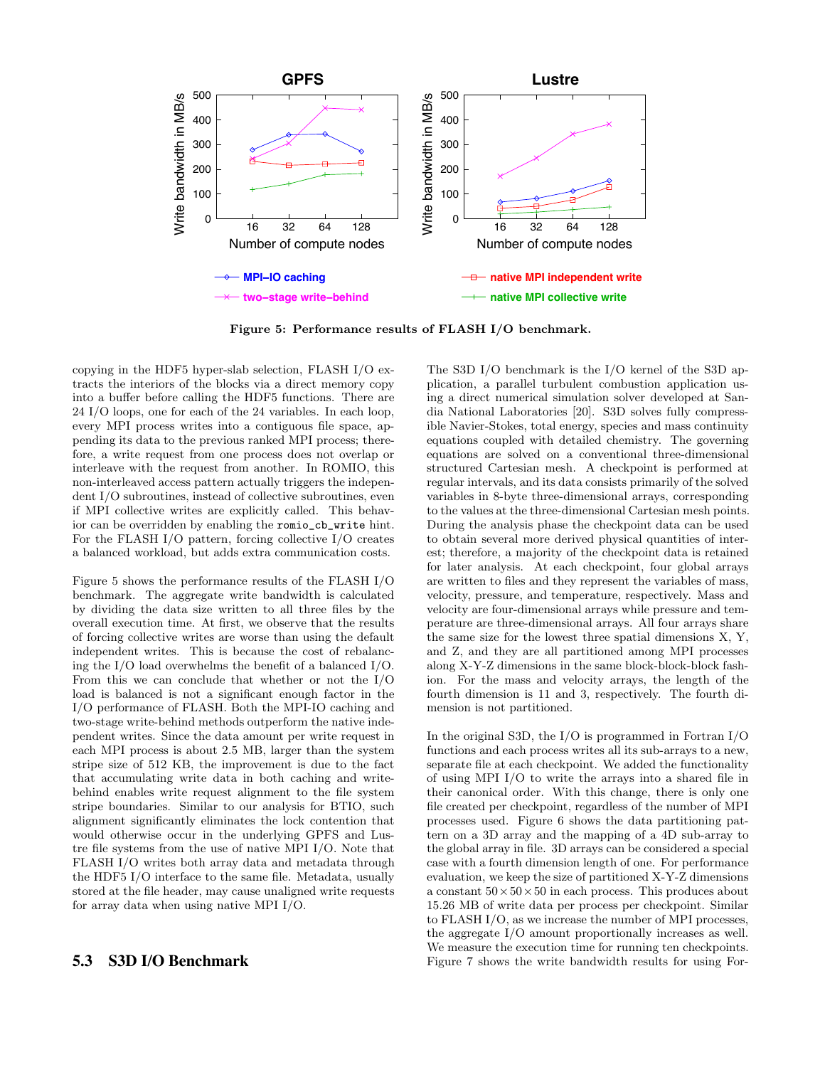

**Figure 5: Performance results of FLASH I/O benchmark.**

copying in the HDF5 hyper-slab selection, FLASH I/O extracts the interiors of the blocks via a direct memory copy into a buffer before calling the HDF5 functions. There are 24 I/O loops, one for each of the 24 variables. In each loop, every MPI process writes into a contiguous file space, appending its data to the previous ranked MPI process; therefore, a write request from one process does not overlap or interleave with the request from another. In ROMIO, this non-interleaved access pattern actually triggers the independent I/O subroutines, instead of collective subroutines, even if MPI collective writes are explicitly called. This behavior can be overridden by enabling the romio\_cb\_write hint. For the FLASH I/O pattern, forcing collective I/O creates a balanced workload, but adds extra communication costs.

Figure 5 shows the performance results of the FLASH I/O benchmark. The aggregate write bandwidth is calculated by dividing the data size written to all three files by the overall execution time. At first, we observe that the results of forcing collective writes are worse than using the default independent writes. This is because the cost of rebalancing the I/O load overwhelms the benefit of a balanced I/O. From this we can conclude that whether or not the I/O load is balanced is not a significant enough factor in the I/O performance of FLASH. Both the MPI-IO caching and two-stage write-behind methods outperform the native independent writes. Since the data amount per write request in each MPI process is about 2.5 MB, larger than the system stripe size of 512 KB, the improvement is due to the fact that accumulating write data in both caching and writebehind enables write request alignment to the file system stripe boundaries. Similar to our analysis for BTIO, such alignment significantly eliminates the lock contention that would otherwise occur in the underlying GPFS and Lustre file systems from the use of native MPI I/O. Note that FLASH I/O writes both array data and metadata through the HDF5 I/O interface to the same file. Metadata, usually stored at the file header, may cause unaligned write requests for array data when using native MPI I/O.

#### **5.3 S3D I/O Benchmark**

The S3D I/O benchmark is the I/O kernel of the S3D application, a parallel turbulent combustion application using a direct numerical simulation solver developed at Sandia National Laboratories [20]. S3D solves fully compressible Navier-Stokes, total energy, species and mass continuity equations coupled with detailed chemistry. The governing equations are solved on a conventional three-dimensional structured Cartesian mesh. A checkpoint is performed at regular intervals, and its data consists primarily of the solved variables in 8-byte three-dimensional arrays, corresponding to the values at the three-dimensional Cartesian mesh points. During the analysis phase the checkpoint data can be used to obtain several more derived physical quantities of interest; therefore, a majority of the checkpoint data is retained for later analysis. At each checkpoint, four global arrays are written to files and they represent the variables of mass, velocity, pressure, and temperature, respectively. Mass and velocity are four-dimensional arrays while pressure and temperature are three-dimensional arrays. All four arrays share the same size for the lowest three spatial dimensions X, Y, and Z, and they are all partitioned among MPI processes along X-Y-Z dimensions in the same block-block-block fashion. For the mass and velocity arrays, the length of the fourth dimension is 11 and 3, respectively. The fourth dimension is not partitioned.

In the original S3D, the I/O is programmed in Fortran I/O functions and each process writes all its sub-arrays to a new, separate file at each checkpoint. We added the functionality of using MPI I/O to write the arrays into a shared file in their canonical order. With this change, there is only one file created per checkpoint, regardless of the number of MPI processes used. Figure 6 shows the data partitioning pattern on a 3D array and the mapping of a 4D sub-array to the global array in file. 3D arrays can be considered a special case with a fourth dimension length of one. For performance evaluation, we keep the size of partitioned X-Y-Z dimensions a constant  $50 \times 50 \times 50$  in each process. This produces about 15.26 MB of write data per process per checkpoint. Similar to FLASH I/O, as we increase the number of MPI processes, the aggregate I/O amount proportionally increases as well. We measure the execution time for running ten checkpoints. Figure 7 shows the write bandwidth results for using For-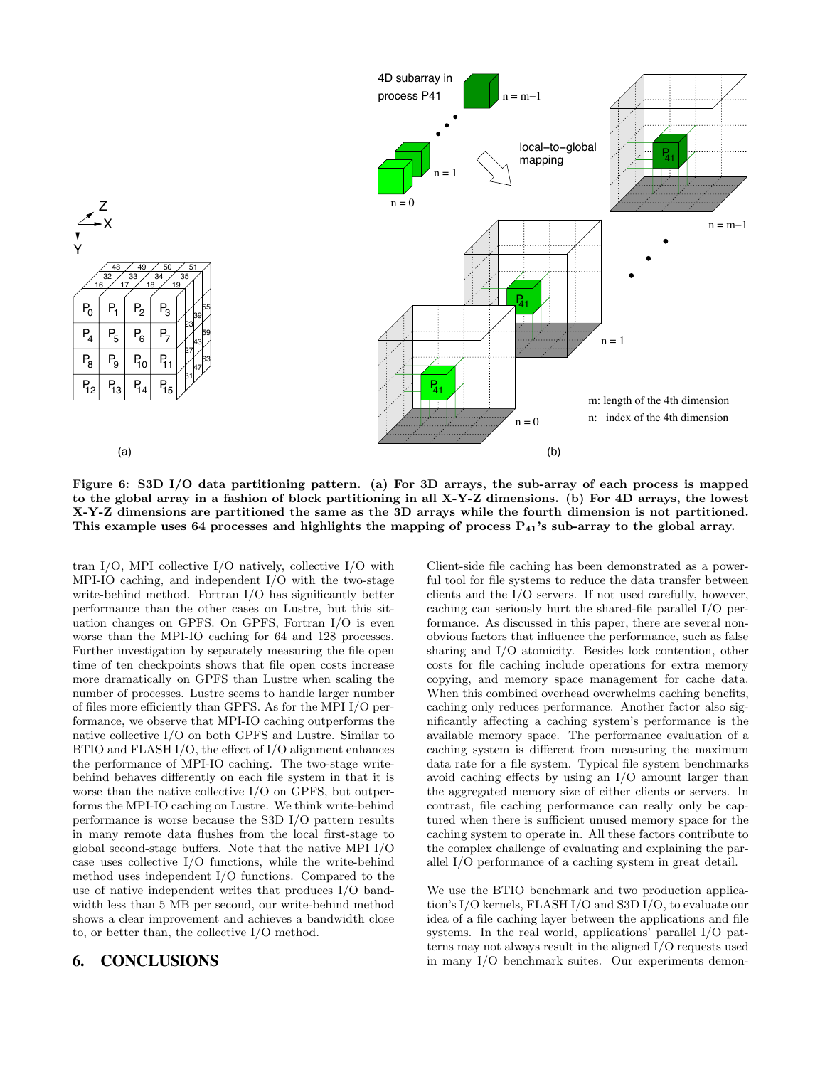

**Figure 6: S3D I/O data partitioning pattern. (a) For 3D arrays, the sub-array of each process is mapped to the global array in a fashion of block partitioning in all X-Y-Z dimensions. (b) For 4D arrays, the lowest X-Y-Z dimensions are partitioned the same as the 3D arrays while the fourth dimension is not partitioned. This example uses 64 processes and highlights the mapping of process P41's sub-array to the global array.**

tran I/O, MPI collective I/O natively, collective I/O with MPI-IO caching, and independent I/O with the two-stage write-behind method. Fortran I/O has significantly better performance than the other cases on Lustre, but this situation changes on GPFS. On GPFS, Fortran I/O is even worse than the MPI-IO caching for 64 and 128 processes. Further investigation by separately measuring the file open time of ten checkpoints shows that file open costs increase more dramatically on GPFS than Lustre when scaling the number of processes. Lustre seems to handle larger number of files more efficiently than GPFS. As for the MPI I/O performance, we observe that MPI-IO caching outperforms the native collective I/O on both GPFS and Lustre. Similar to BTIO and FLASH I/O, the effect of I/O alignment enhances the performance of MPI-IO caching. The two-stage writebehind behaves differently on each file system in that it is worse than the native collective I/O on GPFS, but outperforms the MPI-IO caching on Lustre. We think write-behind performance is worse because the S3D I/O pattern results in many remote data flushes from the local first-stage to global second-stage buffers. Note that the native MPI I/O case uses collective I/O functions, while the write-behind method uses independent I/O functions. Compared to the use of native independent writes that produces I/O bandwidth less than 5 MB per second, our write-behind method shows a clear improvement and achieves a bandwidth close to, or better than, the collective I/O method.

# **6. CONCLUSIONS**

Client-side file caching has been demonstrated as a powerful tool for file systems to reduce the data transfer between clients and the I/O servers. If not used carefully, however, caching can seriously hurt the shared-file parallel I/O performance. As discussed in this paper, there are several nonobvious factors that influence the performance, such as false sharing and I/O atomicity. Besides lock contention, other costs for file caching include operations for extra memory copying, and memory space management for cache data. When this combined overhead overwhelms caching benefits, caching only reduces performance. Another factor also significantly affecting a caching system's performance is the available memory space. The performance evaluation of a caching system is different from measuring the maximum data rate for a file system. Typical file system benchmarks avoid caching effects by using an I/O amount larger than the aggregated memory size of either clients or servers. In contrast, file caching performance can really only be captured when there is sufficient unused memory space for the caching system to operate in. All these factors contribute to the complex challenge of evaluating and explaining the parallel I/O performance of a caching system in great detail.

We use the BTIO benchmark and two production application's I/O kernels, FLASH I/O and S3D I/O, to evaluate our idea of a file caching layer between the applications and file systems. In the real world, applications' parallel I/O patterns may not always result in the aligned I/O requests used in many I/O benchmark suites. Our experiments demon-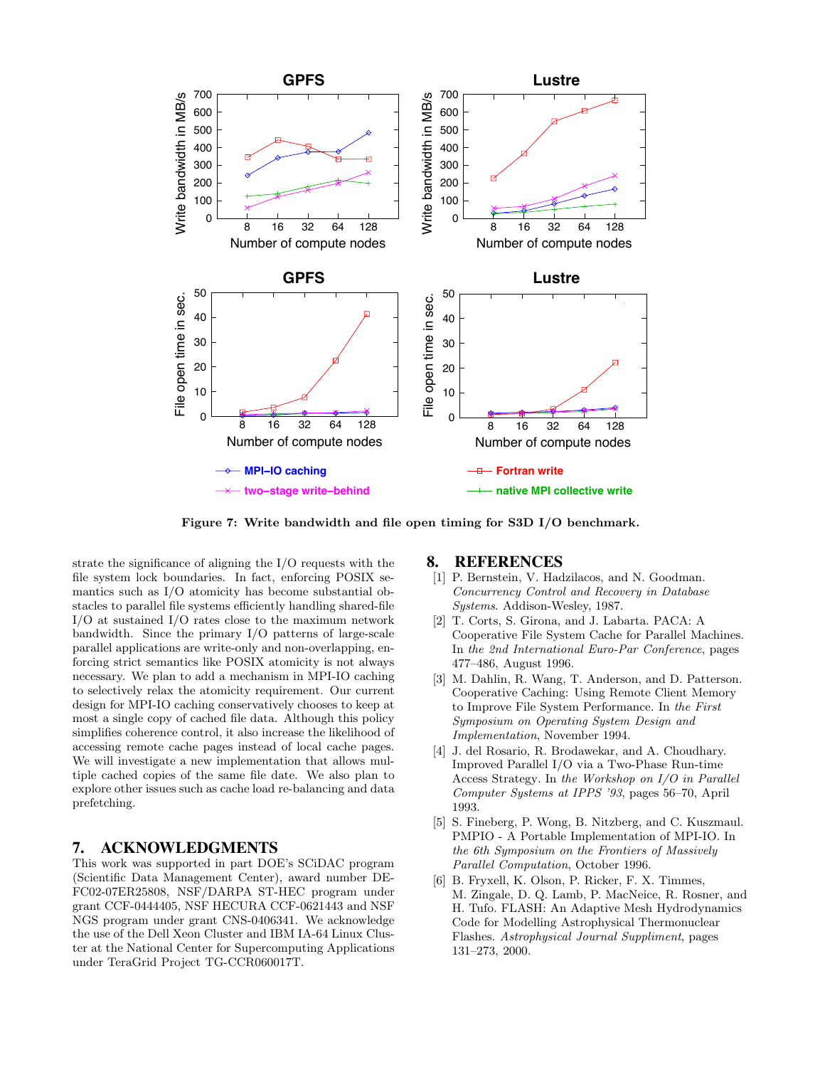

**Figure 7: Write bandwidth and file open timing for S3D I/O benchmark.**

strate the significance of aligning the I/O requests with the file system lock boundaries. In fact, enforcing POSIX semantics such as I/O atomicity has become substantial obstacles to parallel file systems efficiently handling shared-file I/O at sustained I/O rates close to the maximum network bandwidth. Since the primary I/O patterns of large-scale parallel applications are write-only and non-overlapping, enforcing strict semantics like POSIX atomicity is not always necessary. We plan to add a mechanism in MPI-IO caching to selectively relax the atomicity requirement. Our current design for MPI-IO caching conservatively chooses to keep at most a single copy of cached file data. Although this policy simplifies coherence control, it also increase the likelihood of accessing remote cache pages instead of local cache pages. We will investigate a new implementation that allows multiple cached copies of the same file date. We also plan to explore other issues such as cache load re-balancing and data prefetching.

### **7. ACKNOWLEDGMENTS**

This work was supported in part DOE's SCiDAC program (Scientific Data Management Center), award number DE-FC02-07ER25808, NSF/DARPA ST-HEC program under grant CCF-0444405, NSF HECURA CCF-0621443 and NSF NGS program under grant CNS-0406341. We acknowledge the use of the Dell Xeon Cluster and IBM IA-64 Linux Cluster at the National Center for Supercomputing Applications under TeraGrid Project TG-CCR060017T.

#### **8. REFERENCES**

- [1] P. Bernstein, V. Hadzilacos, and N. Goodman. *Concurrency Control and Recovery in Database Systems*. Addison-Wesley, 1987.
- [2] T. Corts, S. Girona, and J. Labarta. PACA: A Cooperative File System Cache for Parallel Machines. In *the 2nd International Euro-Par Conference*, pages 477–486, August 1996.
- [3] M. Dahlin, R. Wang, T. Anderson, and D. Patterson. Cooperative Caching: Using Remote Client Memory to Improve File System Performance. In *the First Symposium on Operating System Design and Implementation*, November 1994.
- [4] J. del Rosario, R. Brodawekar, and A. Choudhary. Improved Parallel I/O via a Two-Phase Run-time Access Strategy. In *the Workshop on I/O in Parallel Computer Systems at IPPS '93*, pages 56–70, April 1993.
- [5] S. Fineberg, P. Wong, B. Nitzberg, and C. Kuszmaul. PMPIO - A Portable Implementation of MPI-IO. In *the 6th Symposium on the Frontiers of Massively Parallel Computation*, October 1996.
- [6] B. Fryxell, K. Olson, P. Ricker, F. X. Timmes, M. Zingale, D. Q. Lamb, P. MacNeice, R. Rosner, and H. Tufo. FLASH: An Adaptive Mesh Hydrodynamics Code for Modelling Astrophysical Thermonuclear Flashes. *Astrophysical Journal Suppliment*, pages 131–273, 2000.